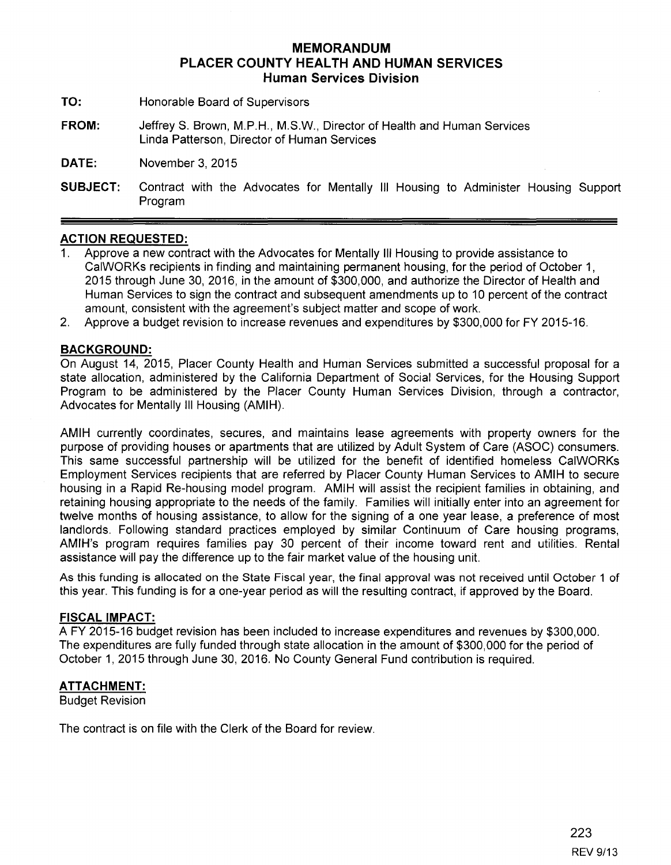# **MEMORANDUM PLACER COUNTY HEALTH AND HUMAN SERVICES Human Services Division**

- **TO:** Honorable Board of Supervisors
- **FROM:** JeffreyS. Brown, M.P.H., M.S.W., Director of Health and Human Services Linda Patterson, Director of Human Services

**DATE:** November 3, 2015

**SUBJECT:** Contract with the Advocates for Mentally Ill Housing to Administer Housing Support Program

## **ACTION REQUESTED:**

- 1. Approve a new contract with the Advocates for Mentally Ill Housing to provide assistance to CaiWORKs recipients in finding and maintaining permanent housing, for the period of October 1, 2015 through June 30, 2016, in the amount of \$300,000, and authorize the Director of Health and Human Services to sign the contract and subsequent amendments up to 10 percent of the contract amount, consistent with the agreement's subject matter and scope of work.
- 2. Approve a budget revision to increase revenues and expenditures by \$300,000 for FY 2015-16.

### **BACKGROUND:**

On August 14, 2015, Placer County Health and Human Services submitted a successful proposal for a state allocation, administered by the California Department of Social Services, for the Housing Support Program to be administered by the Placer County Human Services Division, through a contractor, Advocates for Mentally III Housing (AMIH).

AMIH currently coordinates, secures, and maintains lease agreements with property owners for the purpose of providing houses or apartments that are utilized by Adult System of Care (ASOC) consumers. This same successful partnership will be utilized for the benefit of identified homeless CaiWORKs Employment Services recipients that are referred by Placer County Human Services to AMIH to secure housing in a Rapid Re-housing model program. AMIH will assist the recipient families in obtaining, and retaining housing appropriate to the needs of the family. Families will initially enter into an agreement for twelve months of housing assistance, to allow for the signing of a one year lease, a preference of most landlords. Following standard practices employed by similar Continuum of Care housing programs, AMIH's program requires families pay 30 percent of their income toward rent and utilities. Rental assistance will pay the difference up to the fair market value of the housing unit.

As this funding is allocated on the State Fiscal year, the final approval was not received until October 1 of this year. This funding is for a one-year period as will the resulting contract, if approved by the Board.

### **FISCAL IMPACT:**

A FY 2015-16 budget revision has been included to increase expenditures and revenues by \$300,000. The expenditures are fully funded through state allocation in the amount of \$300,000 for the period of October 1, 2015 through June 30, 2016. No County General Fund contribution is required.

### **ATTACHMENT:**

Budget Revision

The contract is on file with the Clerk of the Board for review.